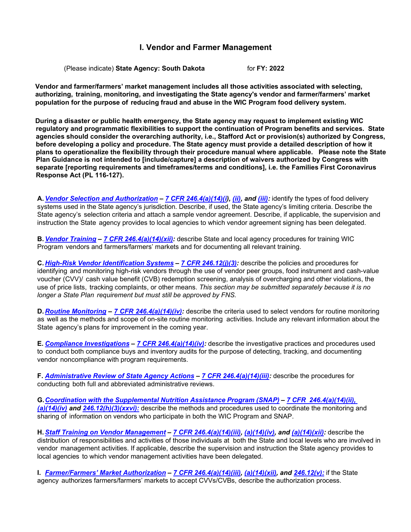# **I. Vendor and Farmer Management**

(Please indicate) **State Agency: South Dakota** for **FY: 2022**

**Vendor and farmer/farmers' market management includes all those activities associated with selecting, authorizing, training, monitoring, and investigating the State agency's vendor and farmer/farmers' market population for the purpose of reducing fraud and abuse in the WIC Program food delivery system.**

**During a disaster or public health emergency, the State agency may request to implement existing WIC regulatory and programmatic flexibilities to support the continuation of Program benefits and services. State agencies should consider the overarching authority, i.e., Stafford Act or provision(s) authorized by Congress, before developing a policy and procedure. The State agency must provide a detailed description of how it plans to operationalize the flexibility through their procedure manual where applicable. Please note the State Plan Guidance is not intended to [include/capture] a description of waivers authorized by Congress with separate [reporting requirements and timeframes/terms and conditions], i.e. the Families First Coronavirus Response Act (PL 116-127).**

**A.***Vendor Selection and [Authorization](#page-2-0) – 7 CFR [246.4\(a\)\(14\)\(i\)](https://ecfr.federalregister.gov/current/title-7/subtitle-B/chapter-II/subchapter-A/part-246#p-246.4(a)(14)(i)), [\(ii\),](https://ecfr.federalregister.gov/current/title-7/subtitle-B/chapter-II/subchapter-A/part-246#p-246.4(a)(14)(ii)) and [\(iii\):](https://ecfr.federalregister.gov/current/title-7/subtitle-B/chapter-II/subchapter-A/part-246#p-246.4(a)(14)(iii))* identify the types of food delivery systems used in the State agency's jurisdiction. Describe, if used, the State agency's limiting criteria. Describe the State agency's selection criteria and attach a sample vendor agreement. Describe, if applicable, the supervision and instruction the State agency provides to local agencies to which vendor agreement signing has been delegated.

**B.***Vendor [Training](#page-9-0) – 7 CFR [246.4\(a\)\(14\)\(xii\):](https://ecfr.federalregister.gov/current/title-7/subtitle-B/chapter-II/subchapter-A/part-246#p-246.4(a)(14)(xii))* describe State and local agency procedures for training WIC Program vendors and farmers/farmers' markets and for documenting all relevant training.

**C.***High-Risk Vendor [Identification](#page-11-0) Systems – 7 CFR [246.12\(j\)\(3\):](https://ecfr.federalregister.gov/current/title-7/subtitle-B/chapter-II/subchapter-A/part-246#p-246.12(i)(3))* describe the policies and procedures for identifying and monitoring high-risk vendors through the use of vendor peer groups, food instrument and cash-value voucher (CVV)/ cash value benefit (CVB) redemption screening, analysis of overcharging and other violations, the use of price lists, tracking complaints, or other means. *This section may be submitted separately because it is no longer a State Plan requirement but must still be approved by FNS.*

**D.***Routine [Monitoring](#page-13-0) – 7 [CFR 246.4\(a\)\(14\)\(iv\):](https://ecfr.federalregister.gov/current/title-7/subtitle-B/chapter-II/subchapter-A/part-246#p-246.4(a)(14)(iv))* describe the criteria used to select vendors for routine monitoring as well as the methods and scope of on-site routine monitoring activities. Include any relevant information about the State agency's plans for improvement in the coming year.

**E.** *Compliance [Investigations](#page-14-0) – 7 CFR [246.4\(a\)\(14\)\(iv\):](https://ecfr.federalregister.gov/current/title-7/subtitle-B/chapter-II/subchapter-A/part-246#p-246.4(a)(14)(iv))* describe the investigative practices and procedures used to conduct both compliance buys and inventory audits for the purpose of detecting, tracking, and documenting vendor noncompliance with program requirements.

**F.** *[Administrative Review of](#page-18-0) State Agency Actions – 7 [CFR 246.4\(a\)\(14\)\(iii\):](https://ecfr.federalregister.gov/current/title-7/subtitle-B/chapter-II/subchapter-A/part-246#p-246.4(a)(14)(iii))* describe the procedures for conducting both full and abbreviated administrative reviews.

**G.***Coordination with the [Supplemental](#page-19-0) Nutrition Assistance Program (SNAP) – 7 CFR [246.4\(a\)\(14\)\(ii\),](https://ecfr.federalregister.gov/current/title-7/subtitle-B/chapter-II/subchapter-A/part-246#p-246.4(a)(14)(ii)) [\(](https://ecfr.federalregister.gov/current/title-7/subtitle-B/chapter-II/subchapter-A/part-246#p-246.4(a)(14)(ii))[a\)\(14\)\(iv\)](https://ecfr.federalregister.gov/current/title-7/subtitle-B/chapter-II/subchapter-A/part-246#p-246.4(a)(14)(iv)) and [246.12\(h\)\(3\)\(xxvi\):](https://ecfr.federalregister.gov/current/title-7/subtitle-B/chapter-II/subchapter-A/part-246#p-246.12(h)(3)(xxvi))* describe the methods and procedures used to coordinate the monitoring and sharing of information on vendors who participate in both the WIC Program and SNAP.

**H.***Staff Training on Vendor [Management](#page-20-0) – 7 [CFR 246.4\(a\)\(14\)\(iii\),](https://ecfr.federalregister.gov/current/title-7/subtitle-B/chapter-II/subchapter-A/part-246#p-246.4(a)(14)(iii)) [\(a\)\(14\)\(iv\),](https://ecfr.federalregister.gov/current/title-7/subtitle-B/chapter-II/subchapter-A/part-246#p-246.4(a)(14)(iv)) and [\(a\)\(14\)\(xii\):](https://ecfr.federalregister.gov/current/title-7/subtitle-B/chapter-II/subchapter-A/part-246#p-246.4(a)(14)(xii))* describe the distribution of responsibilities and activities of those individuals at both the State and local levels who are involved in vendor management activities. If applicable, describe the supervision and instruction the State agency provides to local agencies to which vendor management activities have been delegated.

**I.** *[Farmer/Farmers'](#page-21-0) Market Authorization – 7 [CFR 246.4\(a\)\(14\)\(iii\),](https://ecfr.federalregister.gov/current/title-7/subtitle-B/chapter-II/subchapter-A/part-246#p-246.4(a)(14)(iii)) [\(a\)\(14\)\(xii\),](https://ecfr.federalregister.gov/current/title-7/subtitle-B/chapter-II/subchapter-A/part-246#p-246.4(a)(14)(xii)) and [246.12\(v\):](https://ecfr.federalregister.gov/current/title-7/subtitle-B/chapter-II/subchapter-A/part-246#p-246.12(v))* if the State agency authorizes farmers/farmers' markets to accept CVVs/CVBs, describe the authorization process.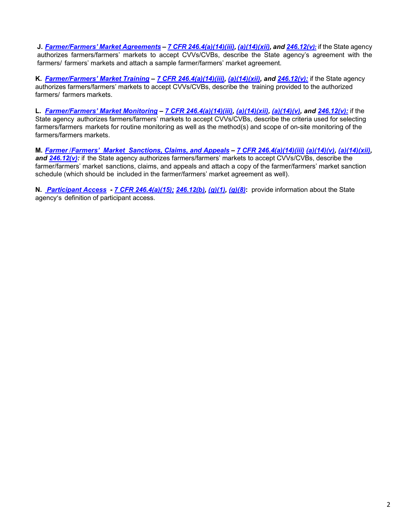**J.** *[Farmer/Farmers'](#page-22-0) Market Agreements – 7 [CFR 246.4\(a\)\(14\)\(iii\),](https://ecfr.federalregister.gov/current/title-7/subtitle-B/chapter-II/subchapter-A/part-246#p-246.4(a)(14)(iii)) [\(a\)\(14\)\(xii\),](https://ecfr.federalregister.gov/current/title-7/subtitle-B/chapter-II/subchapter-A/part-246#p-246.4(a)(14)(xii)) and [246.12\(v](https://ecfr.federalregister.gov/current/title-7/subtitle-B/chapter-II/subchapter-A/part-246#p-246.12(v))[\):](https://ecfr.federalregister.gov/current/title-7/subtitle-B/chapter-II/subchapter-A/part-246#p-246.12(v))* if the State agency authorizes farmers/farmers' markets to accept CVVs/CVBs, describe the State agency's agreement with the farmers/ farmers' markets and attach a sample farmer/farmers' market agreement.

**K.** *[Farmer/Farmers'](#page-23-0) Market Training – 7 [CFR 246.4\(a\)\(14\)\(iii\),](https://ecfr.federalregister.gov/current/title-7/subtitle-B/chapter-II/subchapter-A/part-246#p-246.4(a)(14)(iii)) [\(a\)\(14\)\(xii\),](https://ecfr.federalregister.gov/current/title-7/subtitle-B/chapter-II/subchapter-A/part-246#p-246.4(a)(14)(xii)) and [246.12\(v\):](https://ecfr.federalregister.gov/current/title-7/subtitle-B/chapter-II/subchapter-A/part-246#p-246.12(v))* if the State agency authorizes farmers/farmers' markets to accept CVVs/CVBs, describe the training provided to the authorized farmers/ farmers markets.

**L.** *[Farmer/Farmers'](#page-23-1) Market Monitoring – 7 [CFR 246.4\(a\)\(14\)\(iii\),](https://ecfr.federalregister.gov/current/title-7/subtitle-B/chapter-II/subchapter-A/part-246#p-246.4(a)(14)(iii)) [\(a\)\(14\)\(xii\),](https://ecfr.federalregister.gov/current/title-7/subtitle-B/chapter-II/subchapter-A/part-246#p-246.4(a)(14)(xii)) [\(a\)\(14\)\(v\),](https://ecfr.federalregister.gov/current/title-7/subtitle-B/chapter-II/subchapter-A/part-246#p-246.4(a)(14)(v)) and [246.12\(v\):](https://ecfr.federalregister.gov/current/title-7/subtitle-B/chapter-II/subchapter-A/part-246#p-246.12(v))* if the State agency authorizes farmers/farmers' markets to accept CVVs/CVBs, describe the criteria used for selecting farmers/farmers markets for routine monitoring as well as the method(s) and scope of on-site monitoring of the farmers/farmers markets.

**M.** *Farmer* /*Farmers' Market Sanctions, [Claims, and Appeals](#page-24-0) – 7 [CFR 246.4\(a\)\(14\)\(iii\)](https://ecfr.federalregister.gov/current/title-7/subtitle-B/chapter-II/subchapter-A/part-246#p-246.4(a)(14)(iii)) [\(a\)\(14\)\(v\),](https://ecfr.federalregister.gov/current/title-7/subtitle-B/chapter-II/subchapter-A/part-246#p-246.4(a)(14)(v)) [\(a\)\(14\)\(xii\),](https://ecfr.federalregister.gov/current/title-7/subtitle-B/chapter-II/subchapter-A/part-246#p-246.4(a)(14)(xii)) and [246.12\(v\):](https://ecfr.federalregister.gov/current/title-7/subtitle-B/chapter-II/subchapter-A/part-246#p-246.12(v))* if the State agency authorizes farmers/farmers' markets to accept CVVs/CVBs, describe the farmer/farmers' market sanctions, claims, and appeals and attach a copy of the farmer/farmers' market sanction schedule (which should be included in the farmer/farmers' market agreement as well).

**N.** *[Participant](#page-24-1) Access - 7 CFR [246.4\(a\)\(15\);](https://ecfr.federalregister.gov/current/title-7/subtitle-B/chapter-II/subchapter-A/part-246#p-246.4(a)(15)) [246.12\(b\),](https://ecfr.federalregister.gov/current/title-7/subtitle-B/chapter-II/subchapter-A/part-246#p-246.12(b)) [\(g\)\(1\),](https://ecfr.federalregister.gov/current/title-7/subtitle-B/chapter-II/subchapter-A/part-246#p-246.12(g)(1)) [\(g\)\(8\)](https://ecfr.federalregister.gov/current/title-7/subtitle-B/chapter-II/subchapter-A/part-246#p-246.12(g)(8))***:** provide information about the State agency's definition of participant access.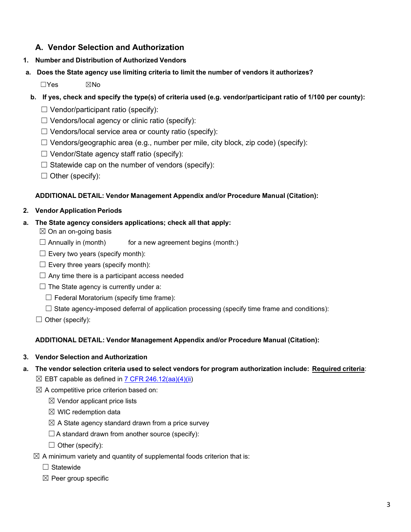# **A. Vendor Selection and Authorization**

- <span id="page-2-0"></span>**1. Number and Distribution of Authorized Vendors**
- **a. Does the State agency use limiting criteria to limit the number of vendors it authorizes?**

☐Yes ☒No

- b. If yes, check and specify the type(s) of criteria used (e.g. vendor/participant ratio of 1/100 per county):
	- $\Box$  Vendor/participant ratio (specify):
	- $\Box$  Vendors/local agency or clinic ratio (specify):
	- $\Box$  Vendors/local service area or county ratio (specify):
	- $\Box$  Vendors/geographic area (e.g., number per mile, city block, zip code) (specify):
	- $\Box$  Vendor/State agency staff ratio (specify):
	- $\Box$  Statewide cap on the number of vendors (specify):
	- $\Box$  Other (specify):

### **ADDITIONAL DETAIL: Vendor Management Appendix and/or Procedure Manual (Citation):**

### **2. Vendor Application Periods**

### **a. The State agency considers applications; check all that apply:**

- $\boxtimes$  On an on-going basis
- $\Box$  Annually in (month) for a new agreement begins (month:)
- $\Box$  Every two years (specify month):
- $\Box$  Every three years (specify month):
- $\Box$  Any time there is a participant access needed
- $\Box$  The State agency is currently under a:
	- $\Box$  Federal Moratorium (specify time frame):
	- $\Box$  State agency-imposed deferral of application processing (specify time frame and conditions):
- $\Box$  Other (specify):

# **ADDITIONAL DETAIL: Vendor Management Appendix and/or Procedure Manual (Citation):**

### **3. Vendor Selection and Authorization**

- **a. The vendor selection criteria used to select vendors for program authorization include: Required criteria**:
	- $\boxtimes$  EBT capable as defined in 7 CFR [246.12\(aa\)\(4\)\(ii\)](https://ecfr.federalregister.gov/current/title-7/subtitle-B/chapter-II/subchapter-A/part-246#p-246.12(aa)(4)(ii))
	- $\boxtimes$  A competitive price criterion based on:
		- $\boxtimes$  Vendor applicant price lists
		- $\boxtimes$  WIC redemption data
		- $\boxtimes$  A State agency standard drawn from a price survey
		- $\Box$  A standard drawn from another source (specify):
		- $\Box$  Other (specify):
	- $\boxtimes$  A minimum variety and quantity of supplemental foods criterion that is:
		- ☐ Statewide
		- $\boxtimes$  Peer group specific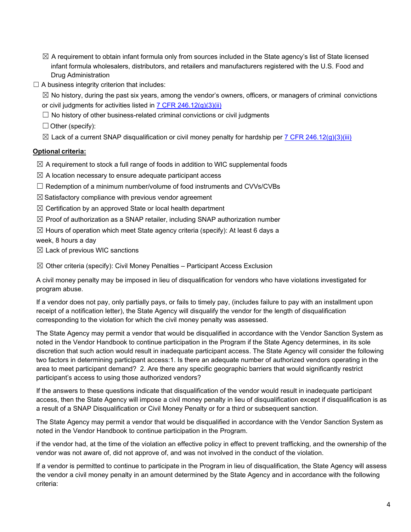- $\boxtimes$  A requirement to obtain infant formula only from sources included in the State agency's list of State licensed infant formula wholesalers, distributors, and retailers and manufacturers registered with the U.S. Food and Drug Administration
- $\Box$  A business integrity criterion that includes:

 $\boxtimes$  No history, during the past six years, among the vendor's owners, officers, or managers of criminal convictions or civil judgments for activities listed in 7 CFR [246.12\(g\)\(3\)\(ii\)](https://ecfr.federalregister.gov/current/title-7/subtitle-B/chapter-II/subchapter-A/part-246#p-246.12(g)(3)(ii))

 $\Box$  No history of other business-related criminal convictions or civil judgments

 $\Box$  Other (specify):

 $\boxtimes$  Lack of a current SNAP disqualification or civil money penalty for hardship per [7 CFR 246.12\(g\)\(3\)\(iii\)](https://ecfr.federalregister.gov/current/title-7/subtitle-B/chapter-II/subchapter-A/part-246#p-246.12(g)(3)(iii))

### **Optional criteria:**

 $\boxtimes$  A requirement to stock a full range of foods in addition to WIC supplemental foods

- $\boxtimes$  A location necessary to ensure adequate participant access
- $\Box$  Redemption of a minimum number/volume of food instruments and CVVs/CVBs
- $\boxtimes$  Satisfactory compliance with previous vendor agreement
- $\boxtimes$  Certification by an approved State or local health department
- $\boxtimes$  Proof of authorization as a SNAP retailer, including SNAP authorization number
- $\boxtimes$  Hours of operation which meet State agency criteria (specify): At least 6 days a

week, 8 hours a day

 $\boxtimes$  Lack of previous WIC sanctions

 $\boxtimes$  Other criteria (specify): Civil Money Penalties – Participant Access Exclusion

A civil money penalty may be imposed in lieu of disqualification for vendors who have violations investigated for program abuse.

If a vendor does not pay, only partially pays, or fails to timely pay, (includes failure to pay with an installment upon receipt of a notification letter), the State Agency will disqualify the vendor for the length of disqualification corresponding to the violation for which the civil money penalty was assessed.

The State Agency may permit a vendor that would be disqualified in accordance with the Vendor Sanction System as noted in the Vendor Handbook to continue participation in the Program if the State Agency determines, in its sole discretion that such action would result in inadequate participant access. The State Agency will consider the following two factors in determining participant access:1. Is there an adequate number of authorized vendors operating in the area to meet participant demand? 2. Are there any specific geographic barriers that would significantly restrict participant's access to using those authorized vendors?

If the answers to these questions indicate that disqualification of the vendor would result in inadequate participant access, then the State Agency will impose a civil money penalty in lieu of disqualification except if disqualification is as a result of a SNAP Disqualification or Civil Money Penalty or for a third or subsequent sanction.

The State Agency may permit a vendor that would be disqualified in accordance with the Vendor Sanction System as noted in the Vendor Handbook to continue participation in the Program.

if the vendor had, at the time of the violation an effective policy in effect to prevent trafficking, and the ownership of the vendor was not aware of, did not approve of, and was not involved in the conduct of the violation.

If a vendor is permitted to continue to participate in the Program in lieu of disqualification, the State Agency will assess the vendor a civil money penalty in an amount determined by the State Agency and in accordance with the following criteria: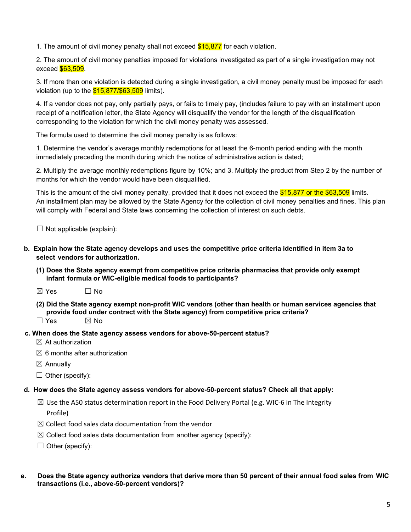1. The amount of civil money penalty shall not exceed  $$15,877$  for each violation.

2. The amount of civil money penalties imposed for violations investigated as part of a single investigation may not exceed \$63,509.

3. If more than one violation is detected during a single investigation, a civil money penalty must be imposed for each violation (up to the  $$15,877/\$63,509$  limits).

4. If a vendor does not pay, only partially pays, or fails to timely pay, (includes failure to pay with an installment upon receipt of a notification letter, the State Agency will disqualify the vendor for the length of the disqualification corresponding to the violation for which the civil money penalty was assessed.

The formula used to determine the civil money penalty is as follows:

1. Determine the vendor's average monthly redemptions for at least the 6-month period ending with the month immediately preceding the month during which the notice of administrative action is dated;

2. Multiply the average monthly redemptions figure by 10%; and 3. Multiply the product from Step 2 by the number of months for which the vendor would have been disqualified.

This is the amount of the civil money penalty, provided that it does not exceed the \$15,877 or the \$63,509 limits. An installment plan may be allowed by the State Agency for the collection of civil money penalties and fines. This plan will comply with Federal and State laws concerning the collection of interest on such debts.

 $\Box$  Not applicable (explain):

- **b. Explain how the State agency develops and uses the competitive price criteria identified in item 3a to select vendors for authorization.**
	- **(1) Does the State agency exempt from competitive price criteria pharmacies that provide only exempt infant formula or WIC-eligible medical foods to participants?**
	- $\boxtimes$  Yes  $\Box$  No
	- **(2) Did the State agency exempt non-profit WIC vendors (other than health or human services agencies that provide food under contract with the State agency) from competitive price criteria?**
	- $\Box$  Yes  $\boxtimes$  No
- **c. When does the State agency assess vendors for above-50-percent status?**
	- $\boxtimes$  At authorization
	- $\boxtimes$  6 months after authorization
	- $\boxtimes$  Annually
	- $\Box$  Other (specify):

#### **d. How does the State agency assess vendors for above-50-percent status? Check all that apply:**

- $\boxtimes$  Use the A50 status determination report in the Food Delivery Portal (e.g. WIC-6 in The Integrity Profile)
- $\boxtimes$  Collect food sales data documentation from the vendor
- $\boxtimes$  Collect food sales data documentation from another agency (specify):
- $\Box$  Other (specify):
- e. Does the State agency authorize vendors that derive more than 50 percent of their annual food sales from WIC  **transactions (i.e., above-50-percent vendors)?**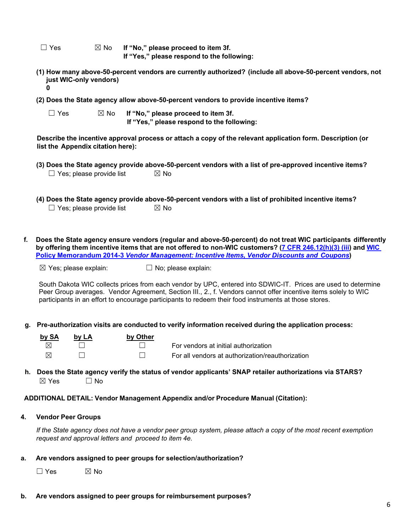☐ Yes ☒ No **If "No," please proceed to item 3f. If "Yes," please respond to the following:**

- **(1) How many above-50-percent vendors are currently authorized? (include all above-50-percent vendors, not just WIC-only vendors) 0**
- **(2) Does the State agency allow above-50-percent vendors to provide incentive items?**

| $\Box$ Yes | $\boxtimes$ No | If "No," please proceed to item 3f.        |
|------------|----------------|--------------------------------------------|
|            |                | If "Yes," please respond to the following: |

**Describe the incentive approval process or attach a copy of the relevant application form. Description (or list the Appendix citation here):**

- **(3) Does the State agency provide above-50-percent vendors with a list of pre-approved incentive items?**  $\Box$  Yes; please provide list  $\boxtimes$  No
- **(4) Does the State agency provide above-50-percent vendors with a list of prohibited incentive items?**  $\Box$  Yes: please provide list  $\boxtimes$  No
- **f. Does the State agency ensure vendors (regular and above-50-percent) do not treat WIC participants differently** by offering them incentive items that are not offered to non-WIC customers? (7 CFR [246.12\(h\)\(3\)](https://ecfr.federalregister.gov/current/title-7/subtitle-B/chapter-II/subchapter-A/part-246#p-246.12(h)(3)(iii)) (iii) and [WIC](https://www.fns.usda.gov/sites/default/files/WPM_2014-3_IncentivesDiscounts2013rev13-1.pdf) **Policy [Memorandum](https://www.fns.usda.gov/sites/default/files/WPM_2014-3_IncentivesDiscounts2013rev13-1.pdf) 2014-3** *Vendor Management: Incentive Items, Vendor Discounts and Coupons***)**

 $\boxtimes$  Yes; please explain:  $\Box$  No; please explain:

South Dakota WIC collects prices from each vendor by UPC, entered into SDWIC-IT. Prices are used to determine Peer Group averages. Vendor Agreement, Section III., 2., f. Vendors cannot offer incentive items solely to WIC participants in an effort to encourage participants to redeem their food instruments at those stores.

#### **g. Pre-authorization visits are conducted to verify information received during the application process:**

| by SA | by LA | by Other |                                                  |
|-------|-------|----------|--------------------------------------------------|
|       |       |          | For vendors at initial authorization             |
|       |       |          | For all vendors at authorization/reauthorization |

**h. Does the State agency verify the status of vendor applicants' SNAP retailer authorizations via STARS?**  $\boxtimes$  Yes  $\Box$  No

#### **ADDITIONAL DETAIL: Vendor Management Appendix and/or Procedure Manual (Citation):**

#### **4. Vendor Peer Groups**

*If the State agency does not have a vendor peer group system, please attach a copy of the most recent exemption request and approval letters and proceed to item 4e.*

#### **a. Are vendors assigned to peer groups for selection/authorization?**

 $\Box$  Yes  $\boxtimes$  No

**b. Are vendors assigned to peer groups for reimbursement purposes?**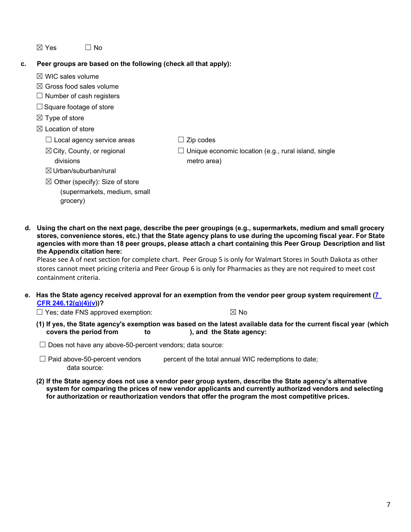$\boxtimes$  Yes  $\Box$  No

### **c. Peer groups are based on the following (check all that apply):**

- $\boxtimes$  WIC sales volume
- $\boxtimes$  Gross food sales volume
- $\Box$  Number of cash registers
- □ Square footage of store
- $\boxtimes$  Type of store
- $\boxtimes$  Location of store

divisions

 $\Box$  Local agency service areas

☒City, County, or regional

 $\Box$  Zip codes

 $\Box$  Unique economic location (e.g., rural island, single metro area)

- ☒Urban/suburban/rural
- $\boxtimes$  Other (specify): Size of store (supermarkets, medium, small grocery)
- d. Using the chart on the next page, describe the peer groupings (e.g., supermarkets, medium and small grocery stores, convenience stores, etc.) that the State agency plans to use during the upcoming fiscal year. For State agencies with more than 18 peer groups, please attach a chart containing this Peer Group Description and list **the Appendix citation here:**

Please see A of next section for complete chart. Peer Group 5 is only for Walmart Stores in South Dakota as other stores cannot meet pricing criteria and Peer Group 6 is only for Pharmacies as they are not required to meet cost containment criteria.

### e. Has the State agency received approval for an exemption from the vendor peer group system requirement [\(7](https://ecfr.federalregister.gov/current/title-7/subtitle-B/chapter-II/subchapter-A/part-246#p-246.12(g)(4)(v))) **CFR [246.12\(g\)\(4\)\(v\)](https://ecfr.federalregister.gov/current/title-7/subtitle-B/chapter-II/subchapter-A/part-246#p-246.12(g)(4)(v)))?**

 $\Box$  Yes; date FNS approved exemption:  $\boxtimes$  No

(1) If yes, the State agency's exemption was based on the latest available data for the current fiscal year (which covers the period from to ), and the State agency: **to** ), and the State agency:

 $\Box$  Does not have any above-50-percent vendors; data source:

**(2) If the State agency does not use a vendor peer group system, describe the State agency's alternative system for comparing the prices of new vendor applicants and currently authorized vendors and selecting for authorization or reauthorization vendors that offer the program the most competitive prices.**

 $\Box$  Paid above-50-percent vendors percent of the total annual WIC redemptions to date; data source: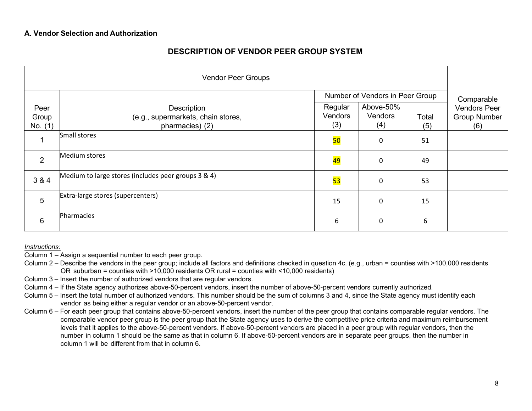# **DESCRIPTION OF VENDOR PEER GROUP SYSTEM**

| <b>Vendor Peer Groups</b> |                                                                      |                           |                                 |              |                                                   |
|---------------------------|----------------------------------------------------------------------|---------------------------|---------------------------------|--------------|---------------------------------------------------|
|                           |                                                                      |                           | Number of Vendors in Peer Group |              | Comparable                                        |
| Peer<br>Group<br>No. (1)  | Description<br>(e.g., supermarkets, chain stores,<br>pharmacies) (2) | Regular<br>Vendors<br>(3) | Above-50%<br>Vendors<br>(4)     | Total<br>(5) | <b>Vendors Peer</b><br><b>Group Number</b><br>(6) |
| 1                         | Small stores                                                         | <b>50</b>                 | 0                               | 51           |                                                   |
| $\overline{2}$            | Medium stores                                                        | <mark>49</mark>           | 0                               | 49           |                                                   |
| 3 & 4                     | Medium to large stores (includes peer groups 3 & 4)                  | <b>53</b>                 | $\mathbf 0$                     | 53           |                                                   |
| $5\phantom{.0}$           | Extra-large stores (supercenters)                                    | 15                        | 0                               | 15           |                                                   |
| $6\phantom{1}6$           | Pharmacies                                                           | 6                         | 0                               | 6            |                                                   |

*Instructions:*

- Column 1 Assign a sequential number to each peer group.
- Column 2 Describe the vendors in the peer group; include all factors and definitions checked in question 4c. (e.g., urban = counties with >100,000 residents OR suburban = counties with >10,000 residents OR rural = counties with <10,000 residents)
- Column 3 Insert the number of authorized vendors that are regular vendors.
- Column 4 If the State agency authorizes above-50-percent vendors, insert the number of above-50-percent vendors currently authorized.
- Column 5 Insert the total number of authorized vendors. This number should be the sum of columns 3 and 4, since the State agency must identify each vendor as being either a regular vendor or an above-50-percent vendor.
- Column 6 For each peer group that contains above-50-percent vendors, insert the number of the peer group that contains comparable regular vendors. The comparable vendor peer group is the peer group that the State agency uses to derive the competitive price criteria and maximum reimbursement levels that it applies to the above-50-percent vendors. If above-50-percent vendors are placed in a peer group with regular vendors, then the number in column 1 should be the same as that in column 6. If above-50-percent vendors are in separate peer groups, then the number in column 1 will be different from that in column 6.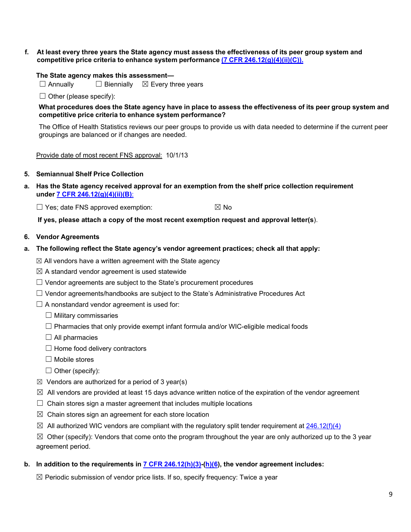f. At least every three years the State agency must assess the effectiveness of its peer group system and **competitive price criteria to enhance system performance (7 CFR [246.12\(g\)\(4\)\(ii\)\(C\)\).](https://ecfr.federalregister.gov/current/title-7/subtitle-B/chapter-II/subchapter-A/part-246#p-246.12(g)(4)(ii)(C))**

#### **The State agency makes this assessment—**

☐ Annually ☐ Biennially ☒ Every three years

 $\Box$  Other (please specify):

What procedures does the State agency have in place to assess the effectiveness of its peer group system and **competitive price criteria to enhance system performance?**

The Office of Health Statistics reviews our peer groups to provide us with data needed to determine if the current peer groupings are balanced or if changes are needed.

Provide date of most recent FNS approval: 10/1/13

#### **5. Semiannual Shelf Price Collection**

**a. Has the State agency received approval for an exemption from the shelf price collection requirement under 7 CFR [246.12\(g\)\(4\)\(ii\)\(B\)](https://ecfr.federalregister.gov/current/title-7/subtitle-B/chapter-II/subchapter-A/part-246#p-246.12(g)(4)(ii)(B))**:

 $\Box$  Yes; date FNS approved exemption:  $\boxtimes$  No

**If yes, please attach a copy of the most recent exemption request and approval letter(s**).

#### **6. Vendor Agreements**

**a. The following reflect the State agency's vendor agreement practices; check all that apply:**

 $\boxtimes$  All vendors have a written agreement with the State agency

- $\boxtimes$  A standard vendor agreement is used statewide
- $\Box$  Vendor agreements are subject to the State's procurement procedures
- $\Box$  Vendor agreements/handbooks are subject to the State's Administrative Procedures Act
- $\Box$  A nonstandard vendor agreement is used for:
	- $\Box$  Military commissaries
	- $\Box$  Pharmacies that only provide exempt infant formula and/or WIC-eligible medical foods
	- $\Box$  All pharmacies
	- $\Box$  Home food delivery contractors
	- ☐ Mobile stores
	- $\Box$  Other (specify):
- $\boxtimes$  Vendors are authorized for a period of 3 year(s)
- $\boxtimes$  All vendors are provided at least 15 days advance written notice of the expiration of the vendor agreement
- $\Box$  Chain stores sign a master agreement that includes multiple locations
- $\boxtimes$  Chain stores sign an agreement for each store location
- $\boxtimes$  All authorized WIC vendors are compliant with the regulatory split tender requirement at [246.12\(f\)\(4\)](https://ecfr.federalregister.gov/current/title-7/subtitle-B/chapter-II/subchapter-A/part-246#p-246.12(f)(4))
- $\boxtimes$  Other (specify): Vendors that come onto the program throughout the year are only authorized up to the 3 year agreement period.
- **b. In addition to the requirements in 7 CFR [246.12\(h\)\(3\)-](https://ecfr.federalregister.gov/current/title-7/subtitle-B/chapter-II/subchapter-A/part-246#p-246.12(h)(3))[\(h\)\(6\)](https://ecfr.federalregister.gov/current/title-7/subtitle-B/chapter-II/subchapter-A/part-246#p-246.12(h)(6)), the vendor agreement includes:**

 $\boxtimes$  Periodic submission of vendor price lists. If so, specify frequency: Twice a year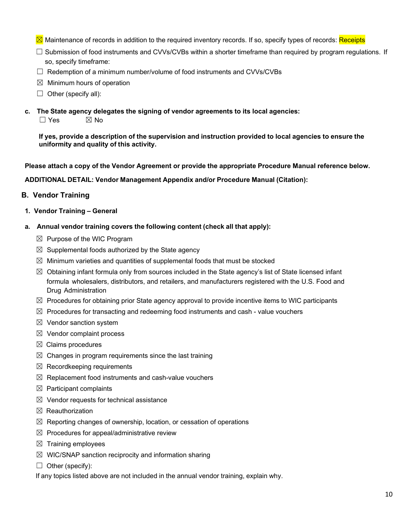- ⊠ Maintenance of records in addition to the required inventory records. If so, specify types of records: Receipts
- ☐ Submission of food instruments and CVVs/CVBs within a shorter timeframe than required by program regulations. If so, specify timeframe:
- $\Box$  Redemption of a minimum number/volume of food instruments and CVVs/CVBs
- $\boxtimes$  Minimum hours of operation
- $\Box$  Other (specify all):
- **c. The State agency delegates the signing of vendor agreements to its local agencies:**
	- $\Box$  Yes  $\boxtimes$  No

**If yes, provide a description of the supervision and instruction provided to local agencies to ensure the uniformity and quality of this activity.**

**Please attach a copy of the Vendor Agreement or provide the appropriate Procedure Manual reference below.**

**ADDITIONAL DETAIL: Vendor Management Appendix and/or Procedure Manual (Citation):**

### <span id="page-9-0"></span>**B. Vendor Training**

- **1. Vendor Training – General**
- **a. Annual vendor training covers the following content (check all that apply):**
	- $\boxtimes$  Purpose of the WIC Program
	- $\boxtimes$  Supplemental foods authorized by the State agency
	- $\boxtimes$  Minimum varieties and quantities of supplemental foods that must be stocked
	- $\boxtimes$  Obtaining infant formula only from sources included in the State agency's list of State licensed infant formula wholesalers, distributors, and retailers, and manufacturers registered with the U.S. Food and Drug Administration
	- $\boxtimes$  Procedures for obtaining prior State agency approval to provide incentive items to WIC participants
	- $\boxtimes$  Procedures for transacting and redeeming food instruments and cash value vouchers
	- $\boxtimes$  Vendor sanction system
	- $\boxtimes$  Vendor complaint process
	- $\boxtimes$  Claims procedures
	- $\boxtimes$  Changes in program requirements since the last training
	- $\boxtimes$  Recordkeeping requirements
	- $\boxtimes$  Replacement food instruments and cash-value vouchers
	- $\boxtimes$  Participant complaints
	- $\boxtimes$  Vendor requests for technical assistance
	- $\boxtimes$  Reauthorization
	- $\boxtimes$  Reporting changes of ownership, location, or cessation of operations
	- $\boxtimes$  Procedures for appeal/administrative review
	- $\boxtimes$  Training employees
	- $\boxtimes$  WIC/SNAP sanction reciprocity and information sharing
	- $\Box$  Other (specify):

If any topics listed above are not included in the annual vendor training, explain why.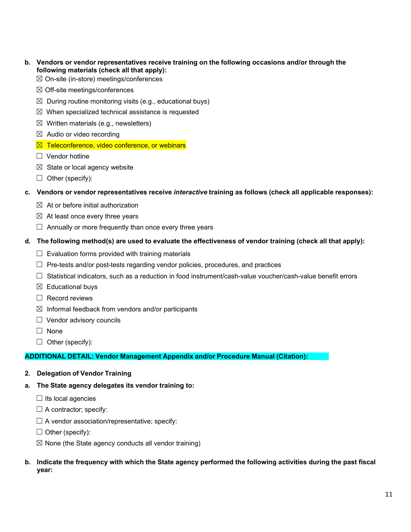- **b. Vendors or vendor representatives receive training on the following occasions and/or through the following materials (check all that apply):**
	- $\boxtimes$  On-site (in-store) meetings/conferences
	- $\boxtimes$  Off-site meetings/conferences
	- $\boxtimes$  During routine monitoring visits (e.g., educational buys)
	- $\boxtimes$  When specialized technical assistance is requested
	- $\boxtimes$  Written materials (e.g., newsletters)
	- $\boxtimes$  Audio or video recording
	- $\boxtimes$  Teleconference, video conference, or webinars
	- $\Box$  Vendor hotline
	- $\boxtimes$  State or local agency website
	- $\Box$  Other (specify):

#### **c. Vendors or vendor representatives receive** *interactive* **training as follows (check all applicable responses):**

- $\boxtimes$  At or before initial authorization
- $\boxtimes$  At least once every three years
- $\Box$  Annually or more frequently than once every three years
- d. The following method(s) are used to evaluate the effectiveness of vendor training (check all that apply):
	- $\Box$  Evaluation forms provided with training materials
	- ☐ Pre-tests and/or post-tests regarding vendor policies, procedures, and practices
	- ☐ Statistical indicators, such as a reduction in food instrument/cash-value voucher/cash-value benefit errors
	- $\boxtimes$  Educational buys
	- $\Box$  Record reviews
	- $\boxtimes$  Informal feedback from vendors and/or participants
	- $\Box$  Vendor advisory councils
	- ☐ None
	- $\Box$  Other (specify):

### **ADDITIONAL DETAIL: Vendor Management Appendix and/or Procedure Manual (Citation):**

- **2. Delegation of Vendor Training**
- **a. The State agency delegates its vendor training to:**
	- $\Box$  Its local agencies
	- $\Box$  A contractor; specify:
	- $\Box$  A vendor association/representative; specify:
	- $\Box$  Other (specify):
	- $\boxtimes$  None (the State agency conducts all vendor training)

### b. Indicate the frequency with which the State agency performed the following activities during the past fiscal **year:**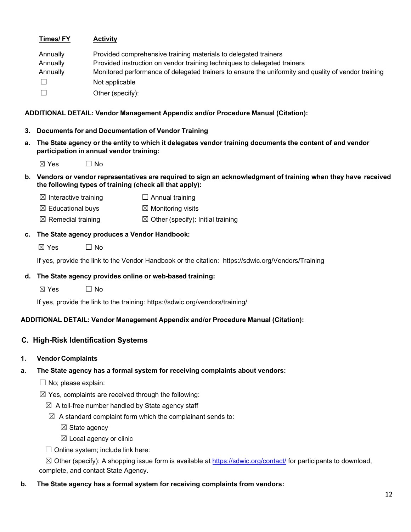|    | <b>Times/FY</b>                                      | <b>Activity</b>                                                                                                                                                                                                                                                                          |
|----|------------------------------------------------------|------------------------------------------------------------------------------------------------------------------------------------------------------------------------------------------------------------------------------------------------------------------------------------------|
|    | Annually<br>Annually<br>Annually<br>$\Box$<br>$\Box$ | Provided comprehensive training materials to delegated trainers<br>Provided instruction on vendor training techniques to delegated trainers<br>Monitored performance of delegated trainers to ensure the uniformity and quality of vendor training<br>Not applicable<br>Other (specify): |
|    |                                                      | ADDITIONAL DETAIL: Vendor Management Appendix and/or Procedure Manual (Citation):                                                                                                                                                                                                        |
|    |                                                      | 3. Documents for and Documentation of Vendor Training                                                                                                                                                                                                                                    |
| а. |                                                      | The State agency or the entity to which it delegates vendor training documents the content of and vendor<br>participation in annual vendor training:                                                                                                                                     |
|    | $\boxtimes$ Yes                                      | $\Box$ No                                                                                                                                                                                                                                                                                |
|    |                                                      | b. Vendors or vendor representatives are required to sign an acknowledgment of training when they have received<br>the following types of training (check all that apply):                                                                                                               |
|    | $\boxtimes$ Interactive training                     | $\Box$ Annual training                                                                                                                                                                                                                                                                   |
|    | $\boxtimes$ Educational buys                         | $\boxtimes$ Monitoring visits                                                                                                                                                                                                                                                            |
|    | $\boxtimes$ Remedial training                        | $\boxtimes$ Other (specify): Initial training                                                                                                                                                                                                                                            |
| c. |                                                      | The State agency produces a Vendor Handbook:                                                                                                                                                                                                                                             |
|    | $\boxtimes$ Yes                                      | $\Box$ No                                                                                                                                                                                                                                                                                |
|    |                                                      | If yes, provide the link to the Vendor Handbook or the citation: https://sdwic.org/Vendors/Training                                                                                                                                                                                      |
|    |                                                      | d. The State agency provides online or web-based training:                                                                                                                                                                                                                               |
|    | $\boxtimes$ Yes                                      | $\Box$ No                                                                                                                                                                                                                                                                                |
|    |                                                      | If yes, provide the link to the training: https://sdwic.org/vendors/training/                                                                                                                                                                                                            |
|    |                                                      |                                                                                                                                                                                                                                                                                          |
|    |                                                      | ADDITIONAL DETAIL: Vendor Management Appendix and/or Procedure Manual (Citation):                                                                                                                                                                                                        |
|    |                                                      | C. High-Risk Identification Systems                                                                                                                                                                                                                                                      |
| 1. | <b>Vendor Complaints</b>                             |                                                                                                                                                                                                                                                                                          |
| а. |                                                      | The State agency has a formal system for receiving complaints about vendors:                                                                                                                                                                                                             |
|    | No; please explain:                                  |                                                                                                                                                                                                                                                                                          |
|    |                                                      | $\boxtimes$ Yes, complaints are received through the following:                                                                                                                                                                                                                          |
|    |                                                      | $\boxtimes$ A toll-free number handled by State agency staff                                                                                                                                                                                                                             |
|    |                                                      | $\boxtimes$ A standard complaint form which the complainant sends to:                                                                                                                                                                                                                    |
|    | $\boxtimes$ State agency                             |                                                                                                                                                                                                                                                                                          |
|    |                                                      | $\boxtimes$ Local agency or clinic                                                                                                                                                                                                                                                       |
|    |                                                      | $\Box$ Online system; include link here:                                                                                                                                                                                                                                                 |
|    |                                                      | ⊠ Other (specify): A shopping issue form is available at https://sdwic.org/contact/ for participants to download,                                                                                                                                                                        |

<span id="page-11-0"></span>complete, and contact State Agency. **b. The State agency has a formal system for receiving complaints from vendors:**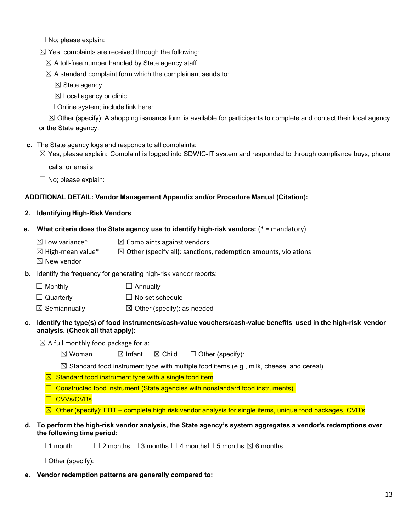$\Box$  No; please explain:

 $\boxtimes$  Yes, complaints are received through the following:

 $\boxtimes$  A toll-free number handled by State agency staff

 $\boxtimes$  A standard complaint form which the complainant sends to:

 $\boxtimes$  State agency

 $$\boxtimes$  Local agency or clinic$ 

 $\Box$  Online system; include link here:

 $\boxtimes$  Other (specify): A shopping issuance form is available for participants to complete and contact their local agency or the State agency.

**c.** The State agency logs and responds to all complaints:

 $\boxtimes$  Yes, please explain: Complaint is logged into SDWIC-IT system and responded to through compliance buys, phone

calls, or emails

 $\Box$  No; please explain:

### **ADDITIONAL DETAIL: Vendor Management Appendix and/or Procedure Manual (Citation):**

### **2. Identifying High-Risk Vendors**

- **a. What criteria does the State agency use to identify high-risk vendors:** (\* = mandatory)
	- $\boxtimes$  Low variance\*  $\boxtimes$  Complaints against vendors
	- $\boxtimes$  High-mean value\*  $\boxtimes$  Other (specify all): sanctions, redemption amounts, violations
	- $\boxtimes$  New vendor

**b.** Identify the frequency for generating high-risk vendor reports:

- $\Box$  Monthly  $\Box$  Annually
- $\Box$  Quarterly  $\Box$  No set schedule
- $\boxtimes$  Semiannually  $\boxtimes$  Other (specify): as needed
- **c. Identify the type(s) of food instruments/cash-value vouchers/cash-value benefits used in the high-risk vendor analysis. (Check all that apply):**
	- $\boxtimes$  A full monthly food package for a:
		- $\boxtimes$  Woman  $\boxtimes$  Infant  $\boxtimes$  Child  $\Box$  Other (specify):
		- $\boxtimes$  Standard food instrument type with multiple food items (e.g., milk, cheese, and cereal)
		- $\boxtimes$  Standard food instrument type with a single food item
		- $\Box$  Constructed food instrument (State agencies with nonstandard food instruments)
		- ☐ CVVs/CVBs
		- $\boxtimes$  Other (specify): EBT complete high risk vendor analysis for single items, unique food packages, CVB's

### **d. To perform the high-risk vendor analysis, the State agency's system aggregates a vendor's redemptions over the following time period:**

 $□ 1$  month  $□ 2$  months  $□ 3$  months  $□ 4$  months  $□ 5$  months  $□ 6$  months

 $\Box$  Other (specify):

**e. Vendor redemption patterns are generally compared to:**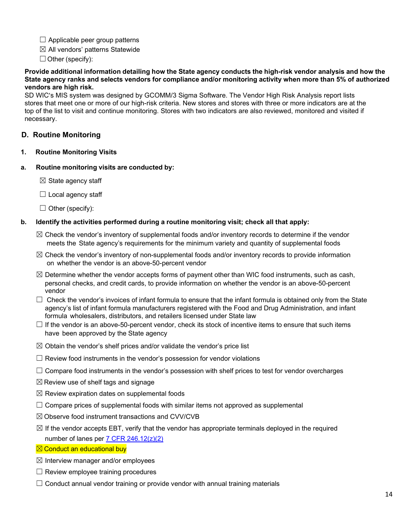- $\Box$  Applicable peer group patterns
- $\boxtimes$  All vendors' patterns Statewide

 $\Box$  Other (specify):

#### **Provide additional information detailing how the State agency conducts the high-risk vendor analysis and how the State agency ranks and selects vendors for compliance and/or monitoring activity when more than 5% of authorized vendors are high risk.**

SD WIC's MIS system was designed by GCOMM/3 Sigma Software. The Vendor High Risk Analysis report lists stores that meet one or more of our high-risk criteria. New stores and stores with three or more indicators are at the top of the list to visit and continue monitoring. Stores with two indicators are also reviewed, monitored and visited if necessary.

# <span id="page-13-0"></span>**D. Routine Monitoring**

**1. Routine Monitoring Visits**

### **a. Routine monitoring visits are conducted by:**

 $\boxtimes$  State agency staff

- $\Box$  Local agency staff
- $\Box$  Other (specify):

### **b. Identify the activities performed during a routine monitoring visit; check all that apply:**

- $\boxtimes$  Check the vendor's inventory of supplemental foods and/or inventory records to determine if the vendor meets the State agency's requirements for the minimum variety and quantity of supplemental foods
- $\boxtimes$  Check the vendor's inventory of non-supplemental foods and/or inventory records to provide information on whether the vendor is an above-50-percent vendor
- $\boxtimes$  Determine whether the vendor accepts forms of payment other than WIC food instruments, such as cash, personal checks, and credit cards, to provide information on whether the vendor is an above-50-percent vendor
- $\Box$  Check the vendor's invoices of infant formula to ensure that the infant formula is obtained only from the State agency's list of infant formula manufacturers registered with the Food and Drug Administration, and infant formula wholesalers, distributors, and retailers licensed under State law
- $\Box$  If the vendor is an above-50-percent vendor, check its stock of incentive items to ensure that such items have been approved by the State agency
- $\boxtimes$  Obtain the vendor's shelf prices and/or validate the vendor's price list
- $\Box$  Review food instruments in the vendor's possession for vendor violations
- $\Box$  Compare food instruments in the vendor's possession with shelf prices to test for vendor overcharges
- $\boxtimes$  Review use of shelf tags and signage
- $\boxtimes$  Review expiration dates on supplemental foods
- $\Box$  Compare prices of supplemental foods with similar items not approved as supplemental
- $\boxtimes$  Observe food instrument transactions and CVV/CVB
- $\boxtimes$  If the vendor accepts EBT, verify that the vendor has appropriate terminals deployed in the required number of lanes per  $7$  CFR 246.12( $z$ )(2)
- **⊠ Conduct an educational buy**
- $\boxtimes$  Interview manager and/or employees
- $\Box$  Review employee training procedures
- $\Box$  Conduct annual vendor training or provide vendor with annual training materials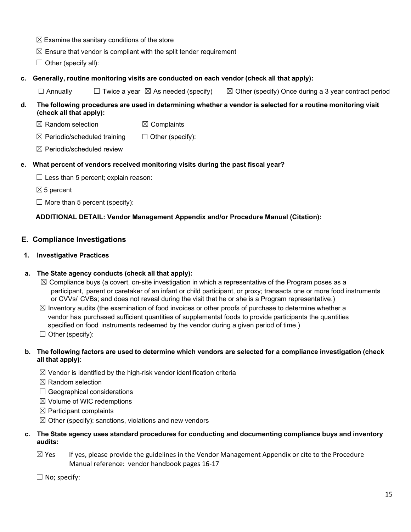- $\boxtimes$  Examine the sanitary conditions of the store
- $\boxtimes$  Ensure that vendor is compliant with the split tender requirement
- $\Box$  Other (specify all):
- **c. Generally, routine monitoring visits are conducted on each vendor (check all that apply):**
	- $\Box$  Annually  $\Box$  Twice a year  $\boxtimes$  As needed (specify)  $\boxtimes$  Other (specify) Once during a 3 year contract period

### d. The following procedures are used in determining whether a vendor is selected for a routine monitoring visit **(check all that apply):**

- $\boxtimes$  Random selection  $\boxtimes$  Complaints
- $\boxtimes$  Periodic/scheduled training  $\Box$  Other (specify):
- $\boxtimes$  Periodic/scheduled review

# **e. What percent of vendors received monitoring visits during the past fiscal year?**

- $\Box$  Less than 5 percent; explain reason:
- $\boxtimes$  5 percent
- $\Box$  More than 5 percent (specify):

# **ADDITIONAL DETAIL: Vendor Management Appendix and/or Procedure Manual (Citation):**

# <span id="page-14-0"></span>**E. Compliance Investigations**

### **1. Investigative Practices**

# **a. The State agency conducts (check all that apply):**

- $\boxtimes$  Compliance buys (a covert, on-site investigation in which a representative of the Program poses as a participant, parent or caretaker of an infant or child participant, or proxy; transacts one or more food instruments or CVVs/ CVBs; and does not reveal during the visit that he or she is a Program representative.)
- $\boxtimes$  Inventory audits (the examination of food invoices or other proofs of purchase to determine whether a vendor has purchased sufficient quantities of supplemental foods to provide participants the quantities specified on food instruments redeemed by the vendor during a given period of time.)
- $\Box$  Other (specify):

### b. The following factors are used to determine which vendors are selected for a compliance investigation (check **all that apply):**

- $\boxtimes$  Vendor is identified by the high-risk vendor identification criteria
- $<sup>8</sup>$  Random selection</sup>
- $\Box$  Geographical considerations
- ☒ Volume of WIC redemptions
- $\boxtimes$  Participant complaints
- $\boxtimes$  Other (specify): sanctions, violations and new vendors

### **c. The State agency uses standard procedures for conducting and documenting compliance buys and inventory audits:**

- $\boxtimes$  Yes If yes, please provide the guidelines in the Vendor Management Appendix or cite to the Procedure Manual reference: vendor handbook pages 16-17
- $\Box$  No; specify: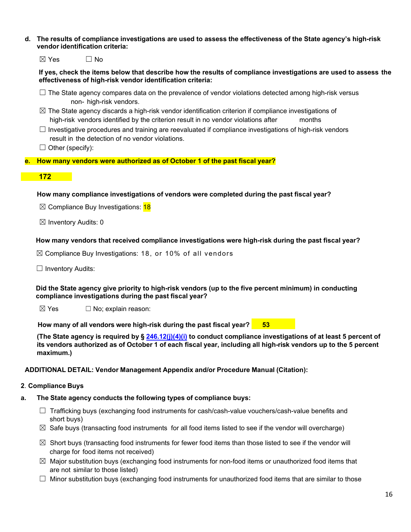d. The results of compliance investigations are used to assess the effectiveness of the State agency's high-risk **vendor identification criteria:**

| $\boxtimes$ Yes | $\Box$ No |
|-----------------|-----------|
|-----------------|-----------|

If yes, check the items below that describe how the results of compliance investigations are used to assess the **effectiveness of high-risk vendor identification criteria:**

- $\Box$  The State agency compares data on the prevalence of vendor violations detected among high-risk versus non- high-risk vendors.
- $\boxtimes$  The State agency discards a high-risk vendor identification criterion if compliance investigations of high-risk vendors identified by the criterion result in no vendor violations after months
- $\Box$  Investigative procedures and training are reevaluated if compliance investigations of high-risk vendors result in the detection of no vendor violations.
- $\Box$  Other (specify):

### **e. How many vendors were authorized as of October 1 of the past fiscal year?**

### **172**

### **How many compliance investigations of vendors were completed during the past fiscal year?**

 $\boxtimes$  Compliance Buy Investigations: 18

 $\boxtimes$  Inventory Audits: 0

### **How many vendors that received compliance investigations were high-risk during the past fiscal year?**

 $\boxtimes$  Compliance Buy Investigations: 18, or 10% of all vendors

 $\Box$  Inventory Audits:

**Did the State agency give priority to high-risk vendors (up to the five percent minimum) in conducting compliance investigations during the past fiscal year?**

 $\boxtimes$  Yes  $\Box$  No; explain reason:

**How many of all vendors were high-risk during the past fiscal year? 53**

(The State agency is required by § [246.12\(j\)\(4\)\(i\)](https://ecfr.federalregister.gov/current/title-7/subtitle-B/chapter-II/subchapter-A/part-246#p-246.12(j)(4)(i)) to conduct compliance investigations of at least 5 percent of its vendors authorized as of October 1 of each fiscal year, including all high-risk vendors up to the 5 percent **maximum.)**

#### **ADDITIONAL DETAIL: Vendor Management Appendix and/or Procedure Manual (Citation):**

### **2**. **Compliance Buys**

### **a. The State agency conducts the following types of compliance buys:**

- $\Box$  Trafficking buys (exchanging food instruments for cash/cash-value vouchers/cash-value benefits and short buys)
- $\boxtimes$  Safe buys (transacting food instruments for all food items listed to see if the vendor will overcharge)
- $\boxtimes$  Short buys (transacting food instruments for fewer food items than those listed to see if the vendor will charge for food items not received)
- $\boxtimes$  Major substitution buys (exchanging food instruments for non-food items or unauthorized food items that are not similar to those listed)
- $\Box$  Minor substitution buys (exchanging food instruments for unauthorized food items that are similar to those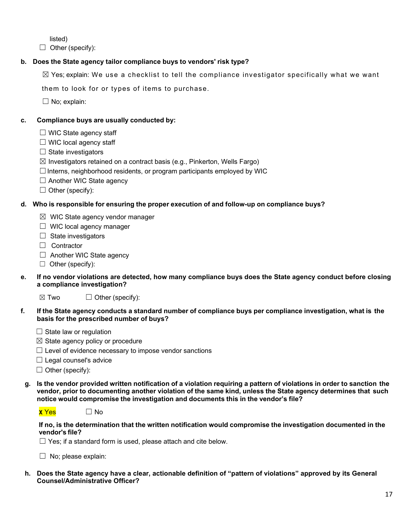listed)

 $\Box$  Other (specify):

# **b. Does the State agency tailor compliance buys to vendors' risk type?**

 $\boxtimes$  Yes; explain: We use a checklist to tell the compliance investigator specifically what we want

them to look for or types of items to purchase.

 $\Box$  No; explain:

### **c. Compliance buys are usually conducted by:**

- $\Box$  WIC State agency staff
- $\Box$  WIC local agency staff
- $\Box$  State investigators
- $\boxtimes$  Investigators retained on a contract basis (e.g., Pinkerton, Wells Fargo)
- $\Box$  Interns, neighborhood residents, or program participants employed by WIC
- □ Another WIC State agency
- $\Box$  Other (specify):

### **d. Who is responsible for ensuring the proper execution of and follow-up on compliance buys?**

- $\boxtimes$  WIC State agency vendor manager
- ☐ WIC local agency manager
- $\Box$  State investigators
- ☐ Contractor
- $\Box$  Another WIC State agency
- ☐ Other (specify):
- **e. If no vendor violations are detected, how many compliance buys does the State agency conduct before closing a compliance investigation?**
	- $\boxtimes$  Two  $\Box$  Other (specify):

#### f. If the State agency conducts a standard number of compliance buys per compliance investigation, what is the **basis for the prescribed number of buys?**

- $\Box$  State law or regulation
- $\boxtimes$  State agency policy or procedure
- $\Box$  Level of evidence necessary to impose vendor sanctions
- $\Box$  Legal counsel's advice
- $\Box$  Other (specify):
- g. Is the vendor provided written notification of a violation requiring a pattern of violations in order to sanction the vendor, prior to documenting another violation of the same kind, unless the State agency determines that such **notice would compromise the investigation and documents this in the vendor's file?**



| $\Box$ No<br><b>x</b> Yes |  |
|---------------------------|--|
|---------------------------|--|

**If no, is the determination that the written notification would compromise the investigation documented in the vendor's file?**

 $\Box$  Yes; if a standard form is used, please attach and cite below.

 $\Box$  No; please explain:

**h. Does the State agency have a clear, actionable definition of "pattern of violations" approved by its General Counsel/Administrative Officer?**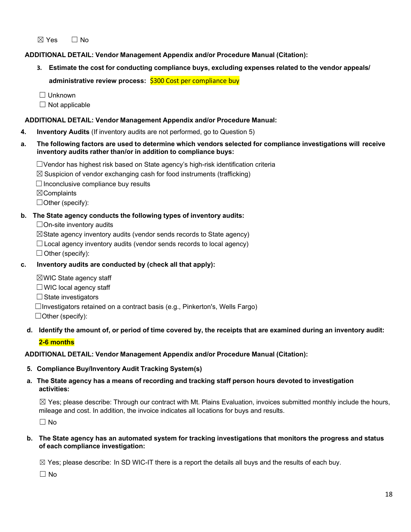$\boxtimes$  Yes  $\Box$  No

**ADDITIONAL DETAIL: Vendor Management Appendix and/or Procedure Manual (Citation):**

**3. Estimate the cost for conducting compliance buys, excluding expenses related to the vendor appeals/ administrative review process:** \$300 Cost per compliance buy

☐ Unknown

 $\Box$  Not applicable

### **ADDITIONAL DETAIL: Vendor Management Appendix and/or Procedure Manual:**

- **4. Inventory Audits** (If inventory audits are not performed, go to Question 5)
- **a. The following factors are used to determine which vendors selected for compliance investigations will receive inventory audits rather than/or in addition to compliance buys:**
	- ☐Vendor has highest risk based on State agency's high-risk identification criteria
	- $\boxtimes$  Suspicion of vendor exchanging cash for food instruments (trafficking)
	- $\Box$  Inconclusive compliance buy results

☒Complaints

☐Other (specify):

### **b. The State agency conducts the following types of inventory audits:**

 $\Box$  On-site inventory audits

 $\boxtimes$ State agency inventory audits (vendor sends records to State agency)

 $\Box$  Local agency inventory audits (vendor sends records to local agency)

 $\Box$  Other (specify):

- **c. Inventory audits are conducted by (check all that apply):**
	- $\boxtimes$  WIC State agency staff  $\Box$  WIC local agency staff □ State investigators  $\Box$ Investigators retained on a contract basis (e.g., Pinkerton's, Wells Fargo)  $\Box$  Other (specify):

# d. Identify the amount of, or period of time covered by, the receipts that are examined during an inventory audit:

# **2-6 months**

# **ADDITIONAL DETAIL: Vendor Management Appendix and/or Procedure Manual (Citation):**

**5. Compliance Buy/Inventory Audit Tracking System(s)**

### **a. The State agency has a means of recording and tracking staff person hours devoted to investigation activities:**

 $\boxtimes$  Yes; please describe: Through our contract with Mt. Plains Evaluation, invoices submitted monthly include the hours, mileage and cost. In addition, the invoice indicates all locations for buys and results.

 $\Box$  No

### b. The State agency has an automated system for tracking investigations that monitors the progress and status **of each compliance investigation:**

 $\boxtimes$  Yes; please describe: In SD WIC-IT there is a report the details all buys and the results of each buy.

☐ No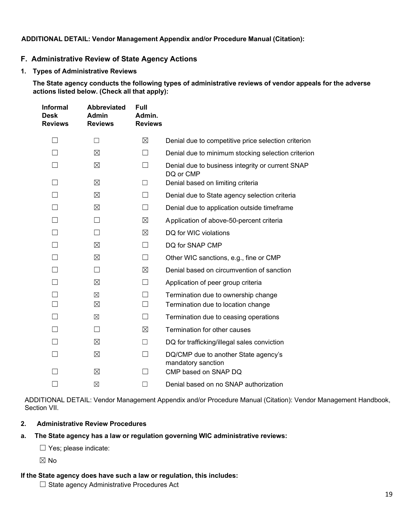### **ADDITIONAL DETAIL: Vendor Management Appendix and/or Procedure Manual (Citation):**

### <span id="page-18-0"></span>**F. Administrative Review of State Agency Actions**

**1. Types of Administrative Reviews**

**The State agency conducts the following types of administrative reviews of vendor appeals for the adverse actions listed below. (Check all that apply):**

| Informal<br>Desk<br><b>Reviews</b> | <b>Abbreviated</b><br>Admin<br><b>Reviews</b> | <b>Full</b><br>Admin.<br><b>Reviews</b> |                                                                           |
|------------------------------------|-----------------------------------------------|-----------------------------------------|---------------------------------------------------------------------------|
|                                    | П                                             | ⊠                                       | Denial due to competitive price selection criterion                       |
|                                    | ⊠                                             | П                                       | Denial due to minimum stocking selection criterion                        |
|                                    | $\boxtimes$                                   |                                         | Denial due to business integrity or current SNAP<br>DQ or CMP             |
|                                    | ⊠                                             | П                                       | Denial based on limiting criteria                                         |
|                                    | ⊠                                             | П                                       | Denial due to State agency selection criteria                             |
|                                    | ⊠                                             |                                         | Denial due to application outside timeframe                               |
|                                    |                                               | ⊠                                       | Application of above-50-percent criteria                                  |
|                                    | П                                             | ⊠                                       | DQ for WIC violations                                                     |
|                                    | $\boxtimes$                                   | $\Box$                                  | DQ for SNAP CMP                                                           |
|                                    | $\boxtimes$                                   | □                                       | Other WIC sanctions, e.g., fine or CMP                                    |
|                                    | $\vert \ \ \vert$                             | ⊠                                       | Denial based on circumvention of sanction                                 |
|                                    | ⊠                                             | $\Box$                                  | Application of peer group criteria                                        |
|                                    | $\boxtimes$<br>⊠                              | $\Box$<br>$\Box$                        | Termination due to ownership change<br>Termination due to location change |
|                                    | ⊠                                             | П                                       | Termination due to ceasing operations                                     |
|                                    | $\vert \ \ \vert$                             | ⊠                                       | Termination for other causes                                              |
|                                    | $\boxtimes$                                   | $\mathsf{L}$                            | DQ for trafficking/illegal sales conviction                               |
|                                    | ⊠                                             |                                         | DQ/CMP due to another State agency's<br>mandatory sanction                |
|                                    | $\boxtimes$                                   |                                         | CMP based on SNAP DQ                                                      |
|                                    | ⊠                                             | - 1                                     | Denial based on no SNAP authorization                                     |

ADDITIONAL DETAIL: Vendor Management Appendix and/or Procedure Manual (Citation): Vendor Management Handbook, Section VII.

### **2. Administrative Review Procedures**

### **a. The State agency has a law or regulation governing WIC administrative reviews:**

☐ Yes; please indicate:

☒ No

### **If the State agency does have such a law or regulation, this includes:**

☐ State agency Administrative Procedures Act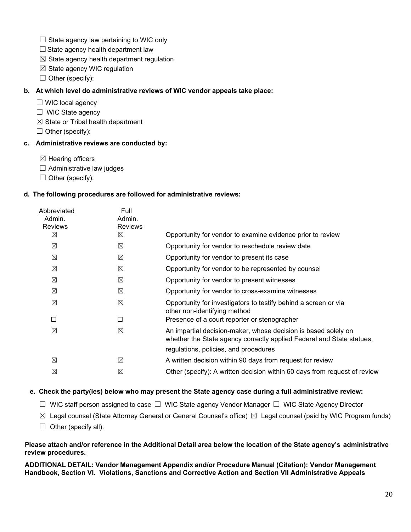- $\Box$  State agency law pertaining to WIC only
- $\Box$  State agency health department law
- $\boxtimes$  State agency health department regulation
- $\boxtimes$  State agency WIC regulation
- $\Box$  Other (specify):

### **b. At which level do administrative reviews of WIC vendor appeals take place:**

- ☐ WIC local agency
- $\Box$  WIC State agency
- $\boxtimes$  State or Tribal health department
- $\Box$  Other (specify):

### **c. Administrative reviews are conducted by:**

- $\boxtimes$  Hearing officers
- $\Box$  Administrative law judges
- $\Box$  Other (specify):

### **d. The following procedures are followed for administrative reviews:**

| Full<br>Admin.<br><b>Reviews</b> |                                                                                                                                         |
|----------------------------------|-----------------------------------------------------------------------------------------------------------------------------------------|
| ⊠                                | Opportunity for vendor to examine evidence prior to review                                                                              |
| ⊠                                | Opportunity for vendor to reschedule review date                                                                                        |
| ⊠                                | Opportunity for vendor to present its case                                                                                              |
| ⊠                                | Opportunity for vendor to be represented by counsel                                                                                     |
| ⊠                                | Opportunity for vendor to present witnesses                                                                                             |
| ⊠                                | Opportunity for vendor to cross-examine witnesses                                                                                       |
| ⊠                                | Opportunity for investigators to testify behind a screen or via<br>other non-identifying method                                         |
|                                  | Presence of a court reporter or stenographer                                                                                            |
| ⊠                                | An impartial decision-maker, whose decision is based solely on<br>whether the State agency correctly applied Federal and State statues, |
|                                  | regulations, policies, and procedures                                                                                                   |
| ⊠                                | A written decision within 90 days from request for review                                                                               |
| ⊠                                | Other (specify): A written decision within 60 days from request of review                                                               |
|                                  |                                                                                                                                         |

### **e. Check the party(ies) below who may present the State agency case during a full administrative review:**

- ☐ WIC staff person assigned to case ☐ WIC State agency Vendor Manager ☐ WIC State Agency Director
- $\boxtimes$  Legal counsel (State Attorney General or General Counsel's office)  $\boxtimes$  Legal counsel (paid by WIC Program funds)
- $\Box$  Other (specify all):

#### Please attach and/or reference in the Additional Detail area below the location of the State agency's administrative **review procedures.**

<span id="page-19-0"></span>**ADDITIONAL DETAIL: Vendor Management Appendix and/or Procedure Manual (Citation): Vendor Management Handbook, Section VI. Violations, Sanctions and Corrective Action and Section VII Administrative Appeals**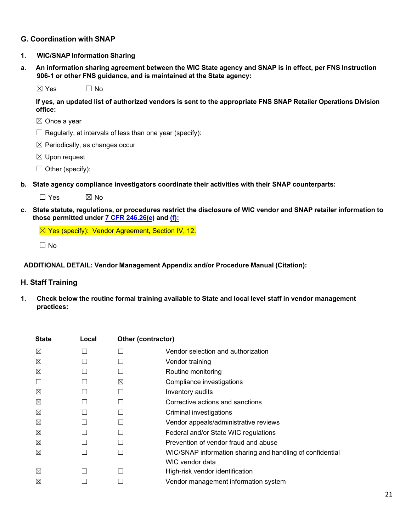# **G. Coordination with SNAP**

#### **1. WIC/SNAP Information Sharing**

a. An information sharing agreement between the WIC State agency and SNAP is in effect, per FNS Instruction **906-1 or other FNS guidance, and is maintained at the State agency:**

 $\boxtimes$  Yes  $\Box$  No

**If yes, an updated list of authorized vendors is sent to the appropriate FNS SNAP Retailer Operations Division office:**

- ☒ Once a year
- $\Box$  Regularly, at intervals of less than one year (specify):
- $\boxtimes$  Periodically, as changes occur
- ☒ Upon request
- $\Box$  Other (specify):
- **b. State agency compliance investigators coordinate their activities with their SNAP counterparts:**

 $\Box$  Yes  $\boxtimes$  No

c. State statute, regulations, or procedures restrict the disclosure of WIC vendor and SNAP retailer information to **those permitted under 7 CFR [246.26\(e\)](https://ecfr.federalregister.gov/current/title-7/subtitle-B/chapter-II/subchapter-A/part-246#p-246.26(e)) and [\(f\):](https://ecfr.federalregister.gov/current/title-7/subtitle-B/chapter-II/subchapter-A/part-246#p-246.26(f))**

☒ Yes (specify): Vendor Agreement, Section IV, 12.

 $\Box$  No

#### **ADDITIONAL DETAIL: Vendor Management Appendix and/or Procedure Manual (Citation):**

#### <span id="page-20-0"></span>**H. Staff Training**

**1. Check below the routine formal training available to State and local level staff in vendor management practices:**

| <b>State</b> | Local | Other (contractor) |                                                           |
|--------------|-------|--------------------|-----------------------------------------------------------|
| ⊠            |       |                    | Vendor selection and authorization                        |
| ⊠            |       |                    | Vendor training                                           |
| ⊠            |       |                    | Routine monitoring                                        |
|              |       | ⊠                  | Compliance investigations                                 |
| ⊠            |       |                    | Inventory audits                                          |
| ⊠            |       |                    | Corrective actions and sanctions                          |
| ⊠            |       |                    | Criminal investigations                                   |
| ⊠            |       |                    | Vendor appeals/administrative reviews                     |
| ⊠            |       |                    | Federal and/or State WIC regulations                      |
| ⊠            |       |                    | Prevention of vendor fraud and abuse                      |
| ⊠            |       |                    | WIC/SNAP information sharing and handling of confidential |
|              |       |                    | WIC vendor data                                           |
| ⊠            |       |                    | High-risk vendor identification                           |
| $\boxtimes$  |       |                    | Vendor management information system                      |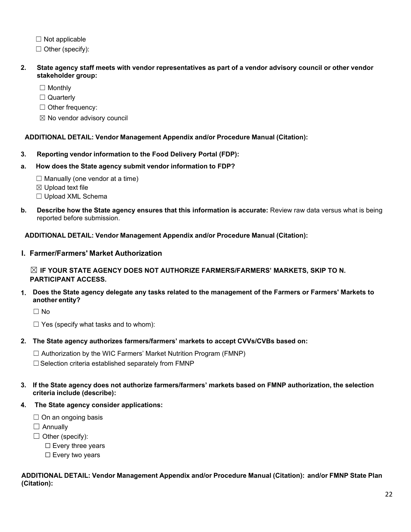$\Box$  Not applicable

 $\Box$  Other (specify):

- 2. State agency staff meets with vendor representatives as part of a vendor advisory council or other vendor **stakeholder group:**
	- □ Monthly
	- □ Quarterly

☐ Other frequency:

☒ No vendor advisory council

### **ADDITIONAL DETAIL: Vendor Management Appendix and/or Procedure Manual (Citation):**

- **3. Reporting vendor information to the Food Delivery Portal (FDP):**
- **a. How does the State agency submit vendor information to FDP?**
	- $\Box$  Manually (one vendor at a time)
	- ☒ Upload text file
	- ☐ Upload XML Schema
- **b. Describe how the State agency ensures that this information is accurate:** Review raw data versus what is being reported before submission.

**ADDITIONAL DETAIL: Vendor Management Appendix and/or Procedure Manual (Citation):**

<span id="page-21-0"></span>**I. Farmer/Farmers' Market Authorization**

☒ **IF YOUR STATE AGENCY DOES NOT AUTHORIZE FARMERS/FARMERS' MARKETS, SKIP TO N. PARTICIPANT ACCESS.** 

**1. Does the State agency delegate any tasks related to the management of the Farmers or Farmers' Markets to another entity?**

☐ No

 $\Box$  Yes (specify what tasks and to whom):

- **2. The State agency authorizes farmers/farmers' markets to accept CVVs/CVBs based on:**
	- ☐ Authorization by the WIC Farmers' Market Nutrition Program (FMNP)

□ Selection criteria established separately from FMNP

- **3. If the State agency does not authorize farmers/farmers' markets based on FMNP authorization, the selection criteria include (describe):**
- **4. The State agency consider applications:**
	- $\Box$  On an ongoing basis
	- $\Box$  Annually
	- $\Box$  Other (specify):
		- ☐ Every three years
		- □ Every two years

### **ADDITIONAL DETAIL: Vendor Management Appendix and/or Procedure Manual (Citation): and/or FMNP State Plan (Citation):**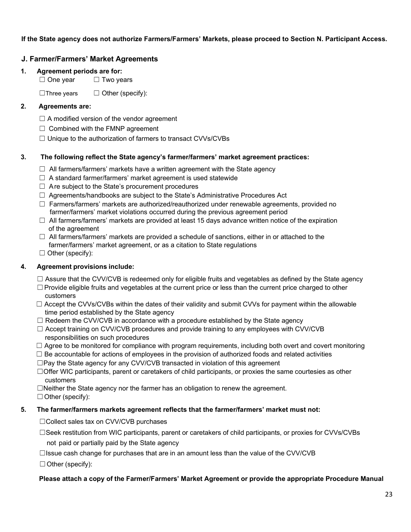### **If the State agency does not authorize Farmers/Farmers' Markets, please proceed to Section N. Participant Access.**

# <span id="page-22-0"></span>**J. Farmer/Farmers' Market Agreements**

### **1. Agreement periods are for:**

□ One year □ Two years

 $\Box$ Three years  $\Box$  Other (specify):

### **2. Agreements are:**

- $\Box$  A modified version of the vendor agreement
- $\Box$  Combined with the FMNP agreement
- ☐ Unique to the authorization of farmers to transact CVVs/CVBs

### **3. The following reflect the State agency's farmer/farmers' market agreement practices:**

- $\Box$  All farmers/farmers' markets have a written agreement with the State agency
- $\Box$  A standard farmer/farmers' market agreement is used statewide
- $\Box$  Are subject to the State's procurement procedures
- $\Box$  Agreements/handbooks are subject to the State's Administrative Procedures Act
- $\Box$  Farmers/farmers' markets are authorized/reauthorized under renewable agreements, provided no farmer/farmers' market violations occurred during the previous agreement period
- $\Box$  All farmers/farmers' markets are provided at least 15 days advance written notice of the expiration of the agreement
- $\Box$  All farmers/farmers' markets are provided a schedule of sanctions, either in or attached to the farmer/farmers' market agreement, or as a citation to State regulations
- $\Box$  Other (specify):

# **4. Agreement provisions include:**

- $\Box$  Assure that the CVV/CVB is redeemed only for eligible fruits and vegetables as defined by the State agency
- □ Provide eligible fruits and vegetables at the current price or less than the current price charged to other customers
- $\Box$  Accept the CVVs/CVBs within the dates of their validity and submit CVVs for payment within the allowable time period established by the State agency
- $\Box$  Redeem the CVV/CVB in accordance with a procedure established by the State agency
- $\Box$  Accept training on CVV/CVB procedures and provide training to any employees with CVV/CVB responsibilities on such procedures
- $\Box$  Agree to be monitored for compliance with program requirements, including both overt and covert monitoring
- $\Box$  Be accountable for actions of employees in the provision of authorized foods and related activities
- ☐Pay the State agency for any CVV/CVB transacted in violation of this agreement
- ☐Offer WIC participants, parent or caretakers of child participants, or proxies the same courtesies as other customers
- ☐Neither the State agency nor the farmer has an obligation to renew the agreement.
- ☐Other (specify):

### **5. The farmer/farmers markets agreement reflects that the farmer/farmers' market must not:**

☐Collect sales tax on CVV/CVB purchases

☐Seek restitution from WIC participants, parent or caretakers of child participants, or proxies for CVVs/CVBs

not paid or partially paid by the State agency

 $\Box$ Issue cash change for purchases that are in an amount less than the value of the CVV/CVB

 $\Box$  Other (specify):

### **Please attach a copy of the Farmer/Farmers' Market Agreement or provide the appropriate Procedure Manual**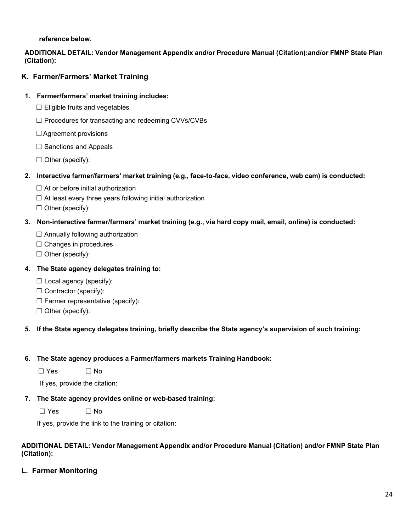**reference below.**

### **ADDITIONAL DETAIL: Vendor Management Appendix and/or Procedure Manual (Citation):and/or FMNP State Plan (Citation):**

# <span id="page-23-0"></span>**K. Farmer/Farmers' Market Training**

### **1. Farmer/farmers' market training includes:**

- ☐ Eligible fruits and vegetables
- ☐ Procedures for transacting and redeeming CVVs/CVBs
- ☐Agreement provisions
- $\Box$  Sanctions and Appeals
- $\Box$  Other (specify):
- **2. Interactive farmer/farmers' market training (e.g., face-to-face, video conference, web cam) is conducted:**
	- $\Box$  At or before initial authorization
	- $\Box$  At least every three years following initial authorization

 $\Box$  Other (specify):

### **3. Non-interactive farmer/farmers' market training (e.g., via hard copy mail, email, online) is conducted:**

- $\Box$  Annually following authorization
- ☐ Changes in procedures
- $\Box$  Other (specify):

### **4. The State agency delegates training to:**

- $\Box$  Local agency (specify):
- $\Box$  Contractor (specify):
- $\Box$  Farmer representative (specify):
- ☐ Other (specify):

### **5. If the State agency delegates training, briefly describe the State agency's supervision of such training:**

### **6. The State agency produces a Farmer/farmers markets Training Handbook:**

 $\Box$  Yes  $\Box$  No

If yes, provide the citation:

**7. The State agency provides online or web-based training:**

☐ Yes ☐ No

If yes, provide the link to the training or citation:

#### **ADDITIONAL DETAIL: Vendor Management Appendix and/or Procedure Manual (Citation) and/or FMNP State Plan (Citation):**

<span id="page-23-1"></span>**L. Farmer Monitoring**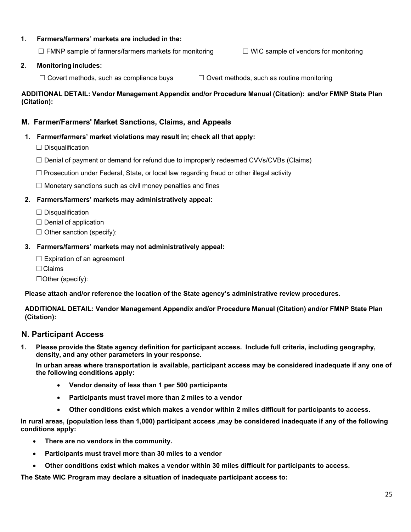### **1. Farmers/farmers' markets are included in the:**

 $\Box$  FMNP sample of farmers/farmers markets for monitoring  $\Box$  WIC sample of vendors for monitoring

#### **2. Monitoring includes:**

 $\Box$  Covert methods, such as compliance buys  $\Box$  Overt methods, such as routine monitoring

**ADDITIONAL DETAIL: Vendor Management Appendix and/or Procedure Manual (Citation): and/or FMNP State Plan (Citation):**

### <span id="page-24-0"></span>**M. Farmer/Farmers' Market Sanctions, Claims, and Appeals**

#### **1. Farmer/farmers' market violations may result in; check all that apply:**

- ☐ Disqualification
- $\Box$  Denial of payment or demand for refund due to improperly redeemed CVVs/CVBs (Claims)
- □ Prosecution under Federal, State, or local law regarding fraud or other illegal activity
- $\Box$  Monetary sanctions such as civil money penalties and fines

#### **2. Farmers/farmers' markets may administratively appeal:**

- $\Box$  Disqualification
- $\Box$  Denial of application
- $\Box$  Other sanction (specify):

#### **3. Farmers/farmers' markets may not administratively appeal:**

- $\Box$  Expiration of an agreement
- ☐Claims
- ☐Other (specify):

**Please attach and/or reference the location of the State agency's administrative review procedures.**

**ADDITIONAL DETAIL: Vendor Management Appendix and/or Procedure Manual (Citation) and/or FMNP State Plan (Citation):**

### <span id="page-24-1"></span>**N. Participant Access**

**1. Please provide the State agency definition for participant access. Include full criteria, including geography, density, and any other parameters in your response.**

**In urban areas where transportation is available, participant access may be considered inadequate if any one of the following conditions apply:**

- **Vendor density of less than 1 per 500 participants**
- **Participants must travel more than 2 miles to a vendor**
- **Other conditions exist which makes a vendor within 2 miles difficult for participants to access.**

**In rural areas, (population less than 1,000) participant access ,may be considered inadequate if any of the following conditions apply:**

- **There are no vendors in the community.**
- **Participants must travel more than 30 miles to a vendor**
- **Other conditions exist which makes a vendor within 30 miles difficult for participants to access.**

**The State WIC Program may declare a situation of inadequate participant access to:**